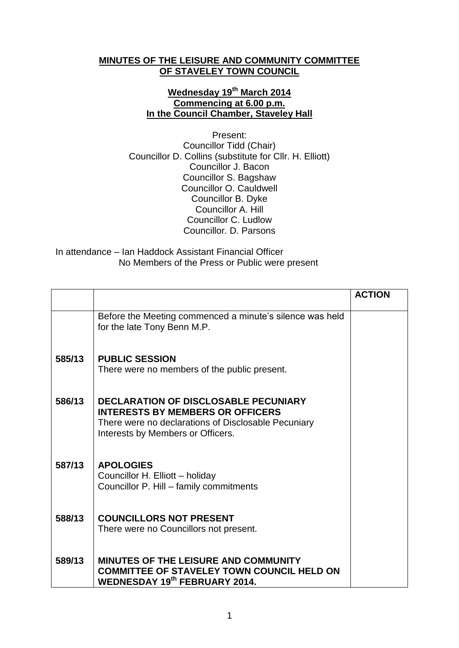## **MINUTES OF THE LEISURE AND COMMUNITY COMMITTEE OF STAVELEY TOWN COUNCIL**

## **Wednesday 19th March 2014 Commencing at 6.00 p.m. In the Council Chamber, Staveley Hall**

Present: Councillor Tidd (Chair) Councillor D. Collins (substitute for Cllr. H. Elliott) Councillor J. Bacon Councillor S. Bagshaw Councillor O. Cauldwell Councillor B. Dyke Councillor A. Hill Councillor C. Ludlow Councillor. D. Parsons

## In attendance – Ian Haddock Assistant Financial Officer No Members of the Press or Public were present

|        |                                                                                                | <b>ACTION</b> |
|--------|------------------------------------------------------------------------------------------------|---------------|
|        | Before the Meeting commenced a minute's silence was held<br>for the late Tony Benn M.P.        |               |
| 585/13 | <b>PUBLIC SESSION</b>                                                                          |               |
|        | There were no members of the public present.                                                   |               |
| 586/13 | <b>DECLARATION OF DISCLOSABLE PECUNIARY</b>                                                    |               |
|        | <b>INTERESTS BY MEMBERS OR OFFICERS</b><br>There were no declarations of Disclosable Pecuniary |               |
|        | Interests by Members or Officers.                                                              |               |
| 587/13 | <b>APOLOGIES</b>                                                                               |               |
|        | Councillor H. Elliott - holiday<br>Councillor P. Hill - family commitments                     |               |
|        |                                                                                                |               |
| 588/13 | <b>COUNCILLORS NOT PRESENT</b>                                                                 |               |
|        | There were no Councillors not present.                                                         |               |
| 589/13 | <b>MINUTES OF THE LEISURE AND COMMUNITY</b>                                                    |               |
|        | <b>COMMITTEE OF STAVELEY TOWN COUNCIL HELD ON</b><br><b>WEDNESDAY 19th FEBRUARY 2014.</b>      |               |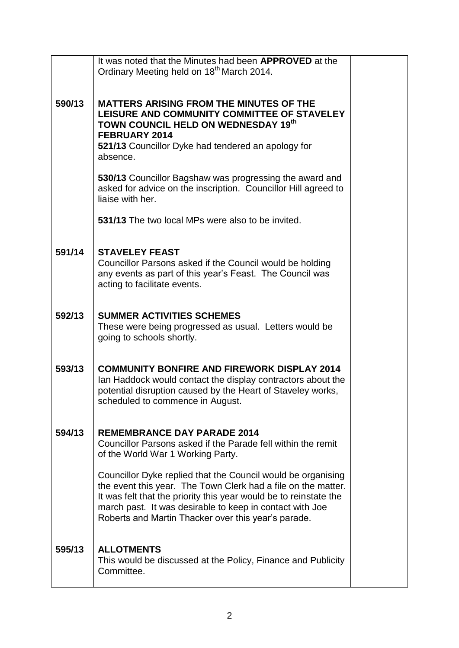|        | It was noted that the Minutes had been <b>APPROVED</b> at the<br>Ordinary Meeting held on 18 <sup>th</sup> March 2014.                                                                                                                                                                                                |  |
|--------|-----------------------------------------------------------------------------------------------------------------------------------------------------------------------------------------------------------------------------------------------------------------------------------------------------------------------|--|
|        |                                                                                                                                                                                                                                                                                                                       |  |
| 590/13 | <b>MATTERS ARISING FROM THE MINUTES OF THE</b><br>LEISURE AND COMMUNITY COMMITTEE OF STAVELEY<br>TOWN COUNCIL HELD ON WEDNESDAY 19th<br>FEBRUARY 2014<br>521/13 Councillor Dyke had tendered an apology for<br>absence.                                                                                               |  |
|        | 530/13 Councillor Bagshaw was progressing the award and<br>asked for advice on the inscription. Councillor Hill agreed to<br>liaise with her.                                                                                                                                                                         |  |
|        | 531/13 The two local MPs were also to be invited.                                                                                                                                                                                                                                                                     |  |
| 591/14 | <b>STAVELEY FEAST</b><br>Councillor Parsons asked if the Council would be holding<br>any events as part of this year's Feast. The Council was<br>acting to facilitate events.                                                                                                                                         |  |
| 592/13 | <b>SUMMER ACTIVITIES SCHEMES</b><br>These were being progressed as usual. Letters would be<br>going to schools shortly.                                                                                                                                                                                               |  |
| 593/13 | <b>COMMUNITY BONFIRE AND FIREWORK DISPLAY 2014</b><br>Ian Haddock would contact the display contractors about the<br>potential disruption caused by the Heart of Staveley works,<br>scheduled to commence in August.                                                                                                  |  |
| 594/13 | <b>REMEMBRANCE DAY PARADE 2014</b><br>Councillor Parsons asked if the Parade fell within the remit<br>of the World War 1 Working Party.                                                                                                                                                                               |  |
|        | Councillor Dyke replied that the Council would be organising<br>the event this year. The Town Clerk had a file on the matter.<br>It was felt that the priority this year would be to reinstate the<br>march past. It was desirable to keep in contact with Joe<br>Roberts and Martin Thacker over this year's parade. |  |
| 595/13 | <b>ALLOTMENTS</b><br>This would be discussed at the Policy, Finance and Publicity<br>Committee.                                                                                                                                                                                                                       |  |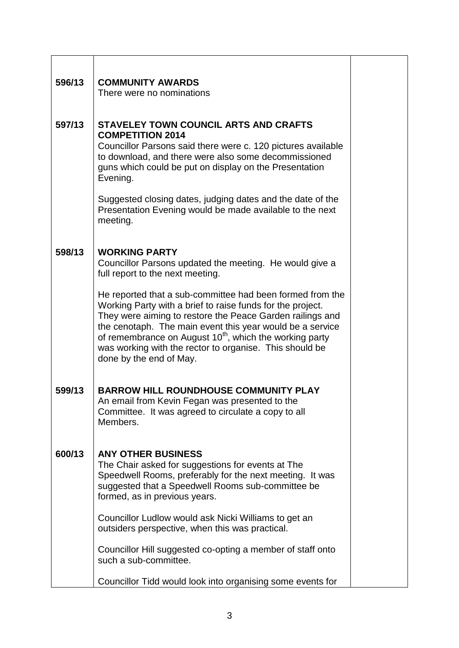| 596/13 | <b>COMMUNITY AWARDS</b><br>There were no nominations                                                                                                                                                                                                                                                                                                                                                           |  |
|--------|----------------------------------------------------------------------------------------------------------------------------------------------------------------------------------------------------------------------------------------------------------------------------------------------------------------------------------------------------------------------------------------------------------------|--|
| 597/13 | <b>STAVELEY TOWN COUNCIL ARTS AND CRAFTS</b><br><b>COMPETITION 2014</b><br>Councillor Parsons said there were c. 120 pictures available<br>to download, and there were also some decommissioned<br>guns which could be put on display on the Presentation<br>Evening.<br>Suggested closing dates, judging dates and the date of the                                                                            |  |
|        | Presentation Evening would be made available to the next<br>meeting.                                                                                                                                                                                                                                                                                                                                           |  |
| 598/13 | <b>WORKING PARTY</b><br>Councillor Parsons updated the meeting. He would give a<br>full report to the next meeting.                                                                                                                                                                                                                                                                                            |  |
|        | He reported that a sub-committee had been formed from the<br>Working Party with a brief to raise funds for the project.<br>They were aiming to restore the Peace Garden railings and<br>the cenotaph. The main event this year would be a service<br>of remembrance on August 10 <sup>th</sup> , which the working party<br>was working with the rector to organise. This should be<br>done by the end of May. |  |
| 599/13 | <b>BARROW HILL ROUNDHOUSE COMMUNITY PLAY</b><br>An email from Kevin Fegan was presented to the<br>Committee. It was agreed to circulate a copy to all<br>Members.                                                                                                                                                                                                                                              |  |
| 600/13 | <b>ANY OTHER BUSINESS</b><br>The Chair asked for suggestions for events at The<br>Speedwell Rooms, preferably for the next meeting. It was<br>suggested that a Speedwell Rooms sub-committee be<br>formed, as in previous years.                                                                                                                                                                               |  |
|        | Councillor Ludlow would ask Nicki Williams to get an<br>outsiders perspective, when this was practical.                                                                                                                                                                                                                                                                                                        |  |
|        | Councillor Hill suggested co-opting a member of staff onto<br>such a sub-committee.                                                                                                                                                                                                                                                                                                                            |  |
|        | Councillor Tidd would look into organising some events for                                                                                                                                                                                                                                                                                                                                                     |  |